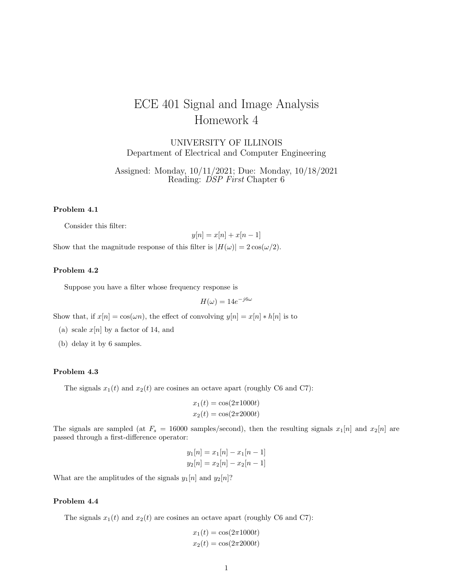# ECE 401 Signal and Image Analysis Homework 4

UNIVERSITY OF ILLINOIS Department of Electrical and Computer Engineering

Assigned: Monday, 10/11/2021; Due: Monday, 10/18/2021 Reading: DSP First Chapter 6

## Problem 4.1

Consider this filter:

$$
y[n] = x[n] + x[n-1]
$$

Show that the magnitude response of this filter is  $|H(\omega)| = 2 \cos(\omega/2)$ .

# Problem 4.2

Suppose you have a filter whose frequency response is

$$
H(\omega) = 14e^{-j6\omega}
$$

Show that, if  $x[n] = \cos(\omega n)$ , the effect of convolving  $y[n] = x[n] * h[n]$  is to

- (a) scale  $x[n]$  by a factor of 14, and
- (b) delay it by 6 samples.

#### Problem 4.3

The signals  $x_1(t)$  and  $x_2(t)$  are cosines an octave apart (roughly C6 and C7):

$$
x_1(t) = \cos(2\pi 1000t)
$$
  

$$
x_2(t) = \cos(2\pi 2000t)
$$

The signals are sampled (at  $F_s = 16000$  samples/second), then the resulting signals  $x_1[n]$  and  $x_2[n]$  are passed through a first-difference operator:

$$
y_1[n] = x_1[n] - x_1[n-1]
$$
  
\n $y_2[n] = x_2[n] - x_2[n-1]$ 

What are the amplitudes of the signals  $y_1[n]$  and  $y_2[n]$ ?

## Problem 4.4

The signals  $x_1(t)$  and  $x_2(t)$  are cosines an octave apart (roughly C6 and C7):

$$
x_1(t) = \cos(2\pi 1000t)
$$
  

$$
x_2(t) = \cos(2\pi 2000t)
$$